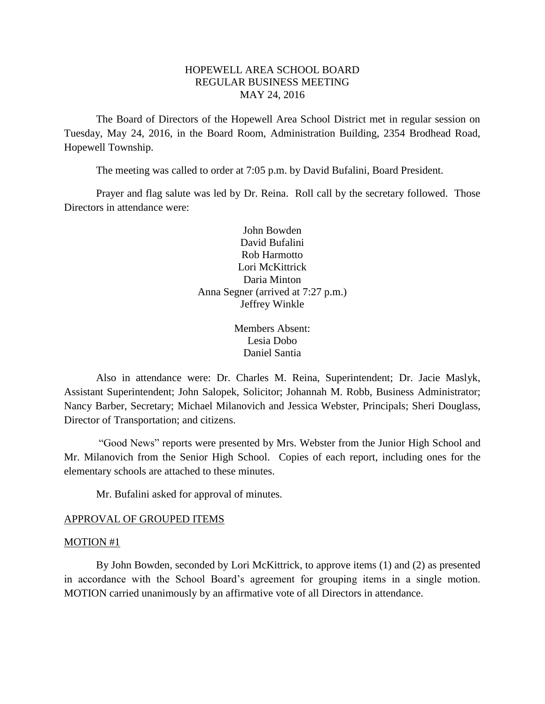## HOPEWELL AREA SCHOOL BOARD REGULAR BUSINESS MEETING MAY 24, 2016

The Board of Directors of the Hopewell Area School District met in regular session on Tuesday, May 24, 2016, in the Board Room, Administration Building, 2354 Brodhead Road, Hopewell Township.

The meeting was called to order at 7:05 p.m. by David Bufalini, Board President.

Prayer and flag salute was led by Dr. Reina. Roll call by the secretary followed. Those Directors in attendance were:

> John Bowden David Bufalini Rob Harmotto Lori McKittrick Daria Minton Anna Segner (arrived at 7:27 p.m.) Jeffrey Winkle

> > Members Absent: Lesia Dobo Daniel Santia

Also in attendance were: Dr. Charles M. Reina, Superintendent; Dr. Jacie Maslyk, Assistant Superintendent; John Salopek, Solicitor; Johannah M. Robb, Business Administrator; Nancy Barber, Secretary; Michael Milanovich and Jessica Webster, Principals; Sheri Douglass, Director of Transportation; and citizens.

"Good News" reports were presented by Mrs. Webster from the Junior High School and Mr. Milanovich from the Senior High School. Copies of each report, including ones for the elementary schools are attached to these minutes.

Mr. Bufalini asked for approval of minutes.

#### APPROVAL OF GROUPED ITEMS

#### MOTION #1

By John Bowden, seconded by Lori McKittrick, to approve items (1) and (2) as presented in accordance with the School Board's agreement for grouping items in a single motion. MOTION carried unanimously by an affirmative vote of all Directors in attendance.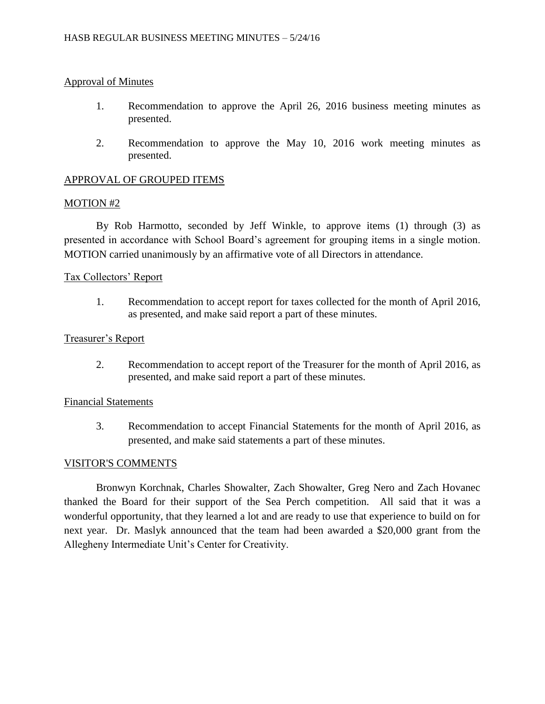## Approval of Minutes

- 1. Recommendation to approve the April 26, 2016 business meeting minutes as presented.
- 2. Recommendation to approve the May 10, 2016 work meeting minutes as presented.

## APPROVAL OF GROUPED ITEMS

### MOTION #2

By Rob Harmotto, seconded by Jeff Winkle, to approve items (1) through (3) as presented in accordance with School Board's agreement for grouping items in a single motion. MOTION carried unanimously by an affirmative vote of all Directors in attendance.

### Tax Collectors' Report

1. Recommendation to accept report for taxes collected for the month of April 2016, as presented, and make said report a part of these minutes.

### Treasurer's Report

2. Recommendation to accept report of the Treasurer for the month of April 2016, as presented, and make said report a part of these minutes.

### Financial Statements

3. Recommendation to accept Financial Statements for the month of April 2016, as presented, and make said statements a part of these minutes.

#### VISITOR'S COMMENTS

Bronwyn Korchnak, Charles Showalter, Zach Showalter, Greg Nero and Zach Hovanec thanked the Board for their support of the Sea Perch competition. All said that it was a wonderful opportunity, that they learned a lot and are ready to use that experience to build on for next year. Dr. Maslyk announced that the team had been awarded a \$20,000 grant from the Allegheny Intermediate Unit's Center for Creativity.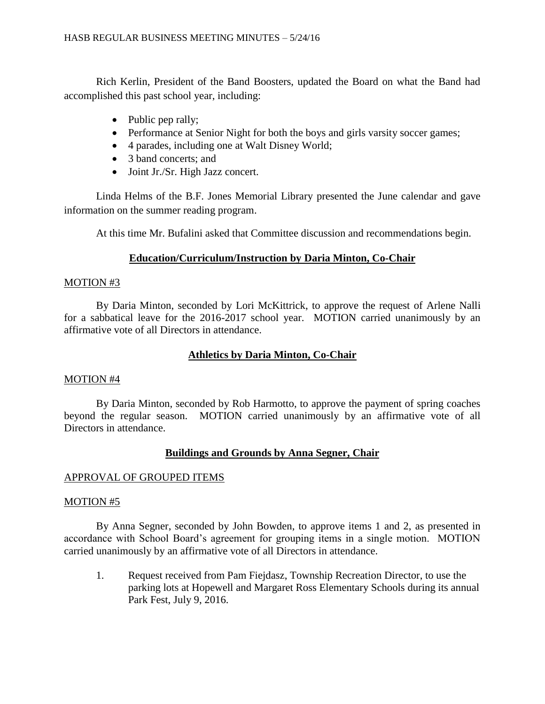Rich Kerlin, President of the Band Boosters, updated the Board on what the Band had accomplished this past school year, including:

- Public pep rally;
- Performance at Senior Night for both the boys and girls varsity soccer games;
- 4 parades, including one at Walt Disney World;
- 3 band concerts; and
- Joint Jr./Sr. High Jazz concert.

Linda Helms of the B.F. Jones Memorial Library presented the June calendar and gave information on the summer reading program.

At this time Mr. Bufalini asked that Committee discussion and recommendations begin.

# **Education/Curriculum/Instruction by Daria Minton, Co-Chair**

# MOTION #3

By Daria Minton, seconded by Lori McKittrick, to approve the request of Arlene Nalli for a sabbatical leave for the 2016-2017 school year. MOTION carried unanimously by an affirmative vote of all Directors in attendance.

# **Athletics by Daria Minton, Co-Chair**

# MOTION #4

By Daria Minton, seconded by Rob Harmotto, to approve the payment of spring coaches beyond the regular season. MOTION carried unanimously by an affirmative vote of all Directors in attendance.

# **Buildings and Grounds by Anna Segner, Chair**

# APPROVAL OF GROUPED ITEMS

# MOTION #5

By Anna Segner, seconded by John Bowden, to approve items 1 and 2, as presented in accordance with School Board's agreement for grouping items in a single motion. MOTION carried unanimously by an affirmative vote of all Directors in attendance.

1. Request received from Pam Fiejdasz, Township Recreation Director, to use the parking lots at Hopewell and Margaret Ross Elementary Schools during its annual Park Fest, July 9, 2016.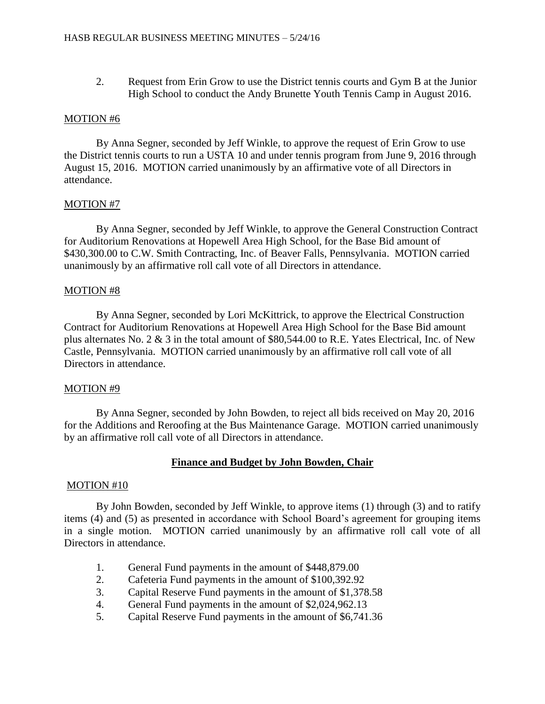2. Request from Erin Grow to use the District tennis courts and Gym B at the Junior High School to conduct the Andy Brunette Youth Tennis Camp in August 2016.

#### MOTION #6

By Anna Segner, seconded by Jeff Winkle, to approve the request of Erin Grow to use the District tennis courts to run a USTA 10 and under tennis program from June 9, 2016 through August 15, 2016. MOTION carried unanimously by an affirmative vote of all Directors in attendance.

### MOTION #7

By Anna Segner, seconded by Jeff Winkle, to approve the General Construction Contract for Auditorium Renovations at Hopewell Area High School, for the Base Bid amount of \$430,300.00 to C.W. Smith Contracting, Inc. of Beaver Falls, Pennsylvania. MOTION carried unanimously by an affirmative roll call vote of all Directors in attendance.

### MOTION #8

By Anna Segner, seconded by Lori McKittrick, to approve the Electrical Construction Contract for Auditorium Renovations at Hopewell Area High School for the Base Bid amount plus alternates No. 2 & 3 in the total amount of \$80,544.00 to R.E. Yates Electrical, Inc. of New Castle, Pennsylvania. MOTION carried unanimously by an affirmative roll call vote of all Directors in attendance.

#### MOTION #9

By Anna Segner, seconded by John Bowden, to reject all bids received on May 20, 2016 for the Additions and Reroofing at the Bus Maintenance Garage. MOTION carried unanimously by an affirmative roll call vote of all Directors in attendance.

## **Finance and Budget by John Bowden, Chair**

#### MOTION #10

By John Bowden, seconded by Jeff Winkle, to approve items (1) through (3) and to ratify items (4) and (5) as presented in accordance with School Board's agreement for grouping items in a single motion. MOTION carried unanimously by an affirmative roll call vote of all Directors in attendance.

- 1. General Fund payments in the amount of \$448,879.00
- 2. Cafeteria Fund payments in the amount of \$100,392.92
- 3. Capital Reserve Fund payments in the amount of \$1,378.58
- 4. General Fund payments in the amount of \$2,024,962.13
- 5. Capital Reserve Fund payments in the amount of \$6,741.36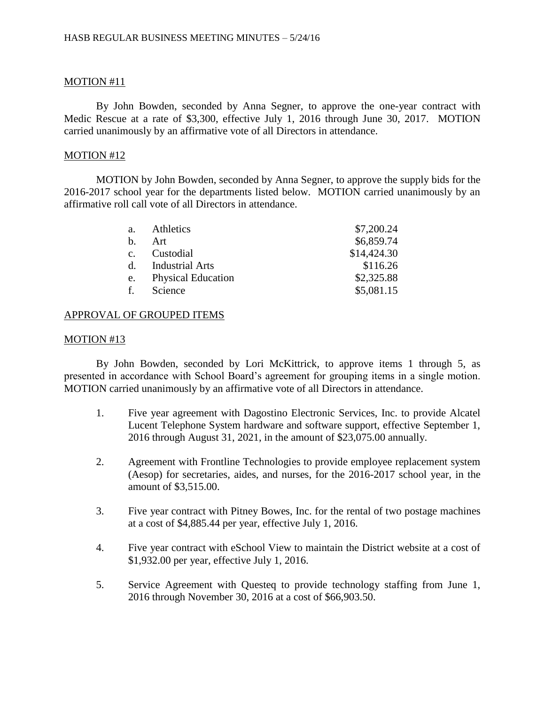## MOTION #11

By John Bowden, seconded by Anna Segner, to approve the one-year contract with Medic Rescue at a rate of \$3,300, effective July 1, 2016 through June 30, 2017. MOTION carried unanimously by an affirmative vote of all Directors in attendance.

### MOTION #12

MOTION by John Bowden, seconded by Anna Segner, to approve the supply bids for the 2016-2017 school year for the departments listed below. MOTION carried unanimously by an affirmative roll call vote of all Directors in attendance.

| a.          | Athletics                 | \$7,200.24  |
|-------------|---------------------------|-------------|
| $h_{\cdot}$ | Art                       | \$6,859.74  |
| $C_{\star}$ | Custodial                 | \$14,424.30 |
| $d_{-}$     | <b>Industrial Arts</b>    | \$116.26    |
| e.          | <b>Physical Education</b> | \$2,325.88  |
| f.          | Science                   | \$5,081.15  |

## APPROVAL OF GROUPED ITEMS

### MOTION #13

By John Bowden, seconded by Lori McKittrick, to approve items 1 through 5, as presented in accordance with School Board's agreement for grouping items in a single motion. MOTION carried unanimously by an affirmative vote of all Directors in attendance.

- 1. Five year agreement with Dagostino Electronic Services, Inc. to provide Alcatel Lucent Telephone System hardware and software support, effective September 1, 2016 through August 31, 2021, in the amount of \$23,075.00 annually.
- 2. Agreement with Frontline Technologies to provide employee replacement system (Aesop) for secretaries, aides, and nurses, for the 2016-2017 school year, in the amount of \$3,515.00.
- 3. Five year contract with Pitney Bowes, Inc. for the rental of two postage machines at a cost of \$4,885.44 per year, effective July 1, 2016.
- 4. Five year contract with eSchool View to maintain the District website at a cost of \$1,932.00 per year, effective July 1, 2016.
- 5. Service Agreement with Questeq to provide technology staffing from June 1, 2016 through November 30, 2016 at a cost of \$66,903.50.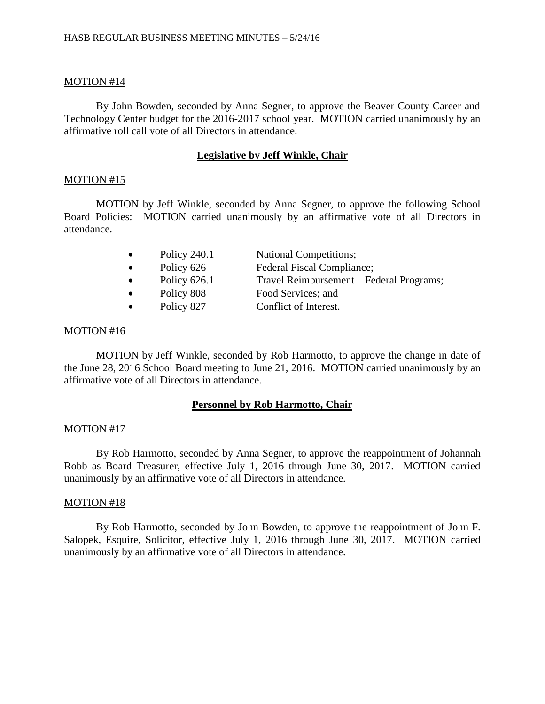#### MOTION #14

By John Bowden, seconded by Anna Segner, to approve the Beaver County Career and Technology Center budget for the 2016-2017 school year. MOTION carried unanimously by an affirmative roll call vote of all Directors in attendance.

#### **Legislative by Jeff Winkle, Chair**

#### MOTION #15

MOTION by Jeff Winkle, seconded by Anna Segner, to approve the following School Board Policies: MOTION carried unanimously by an affirmative vote of all Directors in attendance.

| $\bullet$ | Policy 240.1 | <b>National Competitions;</b>            |
|-----------|--------------|------------------------------------------|
| $\bullet$ | Policy 626   | Federal Fiscal Compliance;               |
| $\bullet$ | Policy 626.1 | Travel Reimbursement - Federal Programs; |
| $\bullet$ | Policy 808   | Food Services; and                       |
| $\bullet$ | Policy 827   | Conflict of Interest.                    |

#### MOTION #16

MOTION by Jeff Winkle, seconded by Rob Harmotto, to approve the change in date of the June 28, 2016 School Board meeting to June 21, 2016. MOTION carried unanimously by an affirmative vote of all Directors in attendance.

#### **Personnel by Rob Harmotto, Chair**

#### MOTION #17

By Rob Harmotto, seconded by Anna Segner, to approve the reappointment of Johannah Robb as Board Treasurer, effective July 1, 2016 through June 30, 2017. MOTION carried unanimously by an affirmative vote of all Directors in attendance.

#### MOTION #18

By Rob Harmotto, seconded by John Bowden, to approve the reappointment of John F. Salopek, Esquire, Solicitor, effective July 1, 2016 through June 30, 2017. MOTION carried unanimously by an affirmative vote of all Directors in attendance.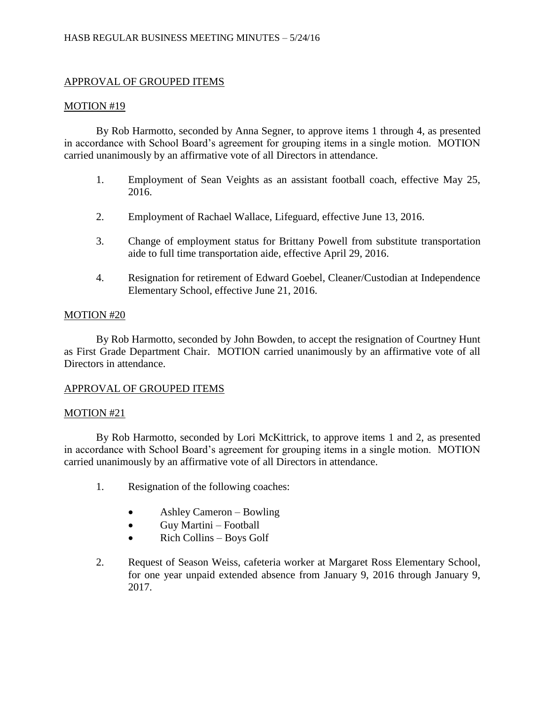# APPROVAL OF GROUPED ITEMS

### MOTION #19

By Rob Harmotto, seconded by Anna Segner, to approve items 1 through 4, as presented in accordance with School Board's agreement for grouping items in a single motion. MOTION carried unanimously by an affirmative vote of all Directors in attendance.

- 1. Employment of Sean Veights as an assistant football coach, effective May 25, 2016.
- 2. Employment of Rachael Wallace, Lifeguard, effective June 13, 2016.
- 3. Change of employment status for Brittany Powell from substitute transportation aide to full time transportation aide, effective April 29, 2016.
- 4. Resignation for retirement of Edward Goebel, Cleaner/Custodian at Independence Elementary School, effective June 21, 2016.

## MOTION #20

By Rob Harmotto, seconded by John Bowden, to accept the resignation of Courtney Hunt as First Grade Department Chair. MOTION carried unanimously by an affirmative vote of all Directors in attendance.

## APPROVAL OF GROUPED ITEMS

#### MOTION #21

By Rob Harmotto, seconded by Lori McKittrick, to approve items 1 and 2, as presented in accordance with School Board's agreement for grouping items in a single motion. MOTION carried unanimously by an affirmative vote of all Directors in attendance.

- 1. Resignation of the following coaches:
	- Ashley Cameron Bowling
	- Guy Martini Football
	- Rich Collins Boys Golf
- 2. Request of Season Weiss, cafeteria worker at Margaret Ross Elementary School, for one year unpaid extended absence from January 9, 2016 through January 9, 2017.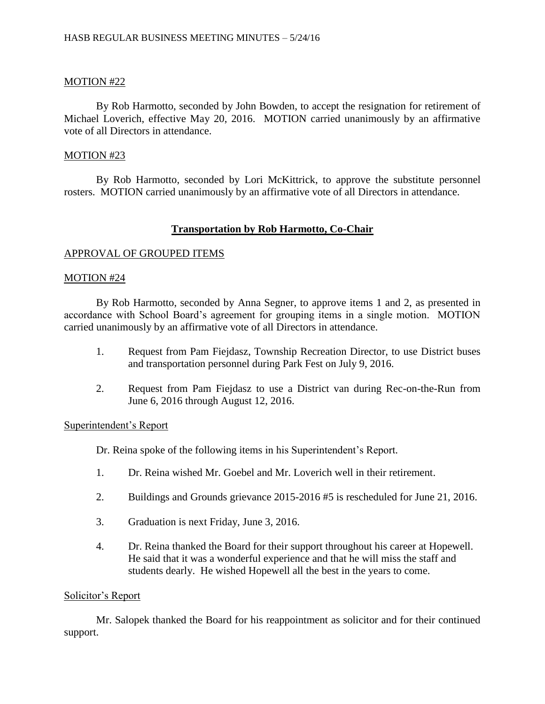# MOTION #22

By Rob Harmotto, seconded by John Bowden, to accept the resignation for retirement of Michael Loverich, effective May 20, 2016. MOTION carried unanimously by an affirmative vote of all Directors in attendance.

### MOTION #23

By Rob Harmotto, seconded by Lori McKittrick, to approve the substitute personnel rosters. MOTION carried unanimously by an affirmative vote of all Directors in attendance.

## **Transportation by Rob Harmotto, Co-Chair**

### APPROVAL OF GROUPED ITEMS

### MOTION #24

By Rob Harmotto, seconded by Anna Segner, to approve items 1 and 2, as presented in accordance with School Board's agreement for grouping items in a single motion. MOTION carried unanimously by an affirmative vote of all Directors in attendance.

- 1. Request from Pam Fiejdasz, Township Recreation Director, to use District buses and transportation personnel during Park Fest on July 9, 2016.
- 2. Request from Pam Fiejdasz to use a District van during Rec-on-the-Run from June 6, 2016 through August 12, 2016.

#### Superintendent's Report

Dr. Reina spoke of the following items in his Superintendent's Report.

- 1. Dr. Reina wished Mr. Goebel and Mr. Loverich well in their retirement.
- 2. Buildings and Grounds grievance 2015-2016 #5 is rescheduled for June 21, 2016.
- 3. Graduation is next Friday, June 3, 2016.
- 4. Dr. Reina thanked the Board for their support throughout his career at Hopewell. He said that it was a wonderful experience and that he will miss the staff and students dearly. He wished Hopewell all the best in the years to come.

#### Solicitor's Report

Mr. Salopek thanked the Board for his reappointment as solicitor and for their continued support.